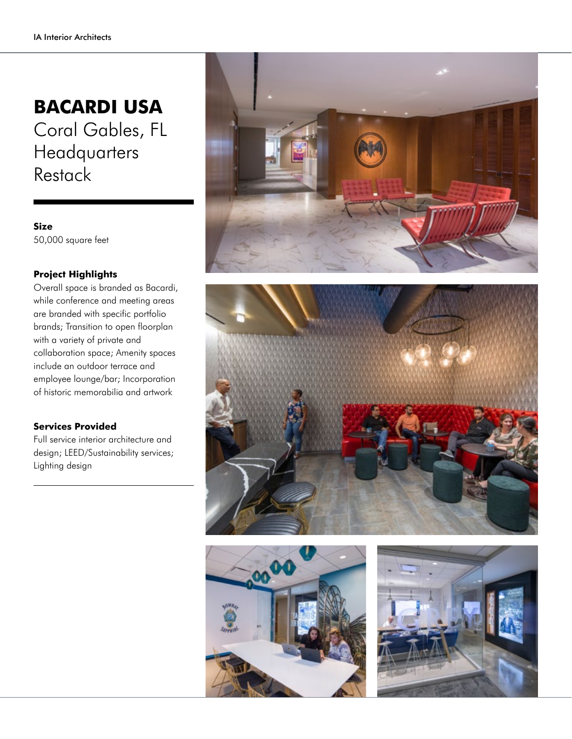## **BACARDI USA**

Coral Gables, FL **Headquarters Restack** 

**Size** 50,000 square feet

## **Project Highlights**

Overall space is branded as Bacardi, while conference and meeting areas are branded with specific portfolio brands; Transition to open floorplan with a variety of private and collaboration space; Amenity spaces include an outdoor terrace and employee lounge/bar; Incorporation of historic memorabilia and artwork

## **Services Provided**

Full service interior architecture and design; LEED/Sustainability services; Lighting design